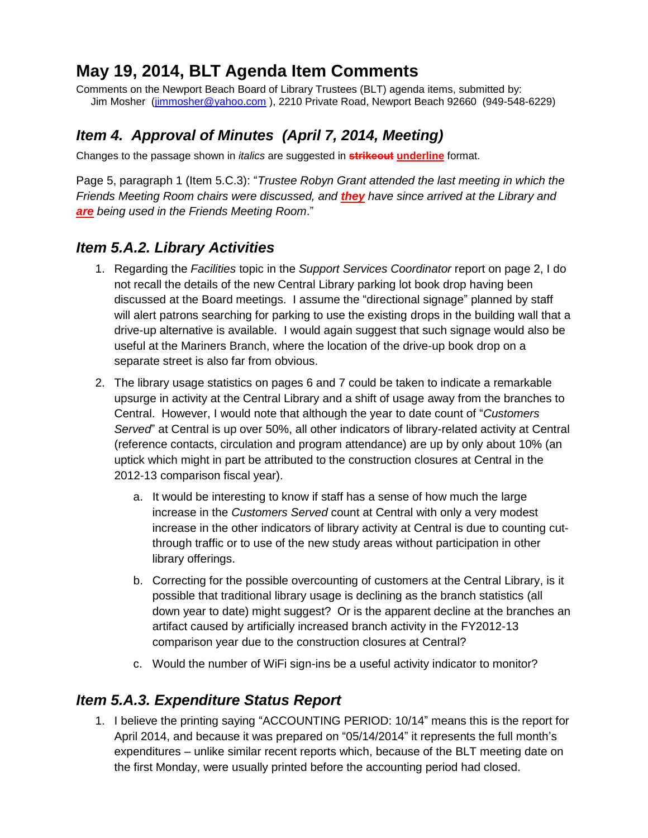# **May 19, 2014, BLT Agenda Item Comments**

Comments on the Newport Beach Board of Library Trustees (BLT) agenda items, submitted by: Jim Mosher [\(jimmosher@yahoo.com](mailto:jimmosher@yahoo.com)), 2210 Private Road, Newport Beach 92660 (949-548-6229)

# *Item 4. Approval of Minutes (April 7, 2014, Meeting)*

Changes to the passage shown in *italics* are suggested in **strikeout underline** format.

Page 5, paragraph 1 (Item 5.C.3): "*Trustee Robyn Grant attended the last meeting in which the Friends Meeting Room chairs were discussed, and they have since arrived at the Library and are being used in the Friends Meeting Room*."

### *Item 5.A.2. Library Activities*

- 1. Regarding the *Facilities* topic in the *Support Services Coordinator* report on page 2, I do not recall the details of the new Central Library parking lot book drop having been discussed at the Board meetings. I assume the "directional signage" planned by staff will alert patrons searching for parking to use the existing drops in the building wall that a drive-up alternative is available. I would again suggest that such signage would also be useful at the Mariners Branch, where the location of the drive-up book drop on a separate street is also far from obvious.
- 2. The library usage statistics on pages 6 and 7 could be taken to indicate a remarkable upsurge in activity at the Central Library and a shift of usage away from the branches to Central. However, I would note that although the year to date count of "*Customers Served*" at Central is up over 50%, all other indicators of library-related activity at Central (reference contacts, circulation and program attendance) are up by only about 10% (an uptick which might in part be attributed to the construction closures at Central in the 2012-13 comparison fiscal year).
	- a. It would be interesting to know if staff has a sense of how much the large increase in the *Customers Served* count at Central with only a very modest increase in the other indicators of library activity at Central is due to counting cutthrough traffic or to use of the new study areas without participation in other library offerings.
	- b. Correcting for the possible overcounting of customers at the Central Library, is it possible that traditional library usage is declining as the branch statistics (all down year to date) might suggest? Or is the apparent decline at the branches an artifact caused by artificially increased branch activity in the FY2012-13 comparison year due to the construction closures at Central?
	- c. Would the number of WiFi sign-ins be a useful activity indicator to monitor?

## *Item 5.A.3. Expenditure Status Report*

1. I believe the printing saying "ACCOUNTING PERIOD: 10/14" means this is the report for April 2014, and because it was prepared on "05/14/2014" it represents the full month's expenditures – unlike similar recent reports which, because of the BLT meeting date on the first Monday, were usually printed before the accounting period had closed.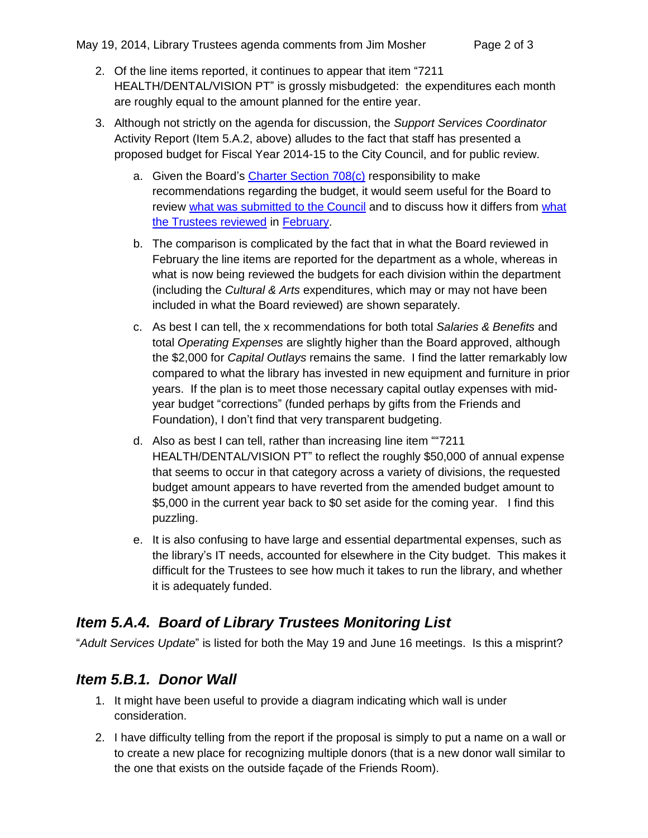- 2. Of the line items reported, it continues to appear that item "7211 HEALTH/DENTAL/VISION PT" is grossly misbudgeted: the expenditures each month are roughly equal to the amount planned for the entire year.
- 3. Although not strictly on the agenda for discussion, the *Support Services Coordinator* Activity Report (Item 5.A.2, above) alludes to the fact that staff has presented a proposed budget for Fiscal Year 2014-15 to the City Council, and for public review.
	- a. Given the Board's [Charter Section 708\(c\)](http://www.codepublishing.com/CA/NewportBeach/html/NewportBeachCH.html#07.708) responsibility to make recommendations regarding the budget, it would seem useful for the Board to review [what was submitted to the Council](http://www.newportbeachca.gov/index.aspx?page=287) and to discuss how it differs from [what](http://www.newportbeachca.gov/Modules/ShowDocument.aspx?documentid=17762)  [the Trustees reviewed](http://www.newportbeachca.gov/Modules/ShowDocument.aspx?documentid=17762) in [February.](http://www.newportbeachca.gov/index.aspx?recordid=3690&page=1473)
	- b. The comparison is complicated by the fact that in what the Board reviewed in February the line items are reported for the department as a whole, whereas in what is now being reviewed the budgets for each division within the department (including the *Cultural & Arts* expenditures, which may or may not have been included in what the Board reviewed) are shown separately.
	- c. As best I can tell, the x recommendations for both total *Salaries & Benefits* and total *Operating Expenses* are slightly higher than the Board approved, although the \$2,000 for *Capital Outlays* remains the same. I find the latter remarkably low compared to what the library has invested in new equipment and furniture in prior years. If the plan is to meet those necessary capital outlay expenses with midyear budget "corrections" (funded perhaps by gifts from the Friends and Foundation), I don't find that very transparent budgeting.
	- d. Also as best I can tell, rather than increasing line item ""7211 HEALTH/DENTAL/VISION PT" to reflect the roughly \$50,000 of annual expense that seems to occur in that category across a variety of divisions, the requested budget amount appears to have reverted from the amended budget amount to \$5,000 in the current year back to \$0 set aside for the coming year. I find this puzzling.
	- e. It is also confusing to have large and essential departmental expenses, such as the library's IT needs, accounted for elsewhere in the City budget. This makes it difficult for the Trustees to see how much it takes to run the library, and whether it is adequately funded.

### *Item 5.A.4. Board of Library Trustees Monitoring List*

"*Adult Services Update*" is listed for both the May 19 and June 16 meetings. Is this a misprint?

### *Item 5.B.1. Donor Wall*

- 1. It might have been useful to provide a diagram indicating which wall is under consideration.
- 2. I have difficulty telling from the report if the proposal is simply to put a name on a wall or to create a new place for recognizing multiple donors (that is a new donor wall similar to the one that exists on the outside façade of the Friends Room).